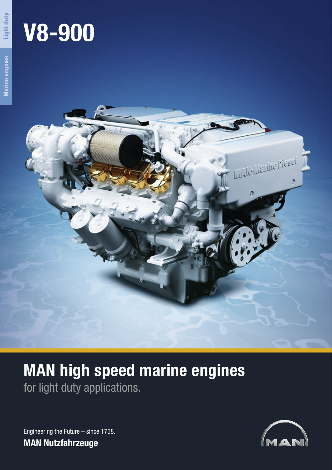# **V8-900**



# **MAN high speed marine engines** for light duty applications.

Engineering the Future – since 1758. **MAN Nutzfahrzeuge**

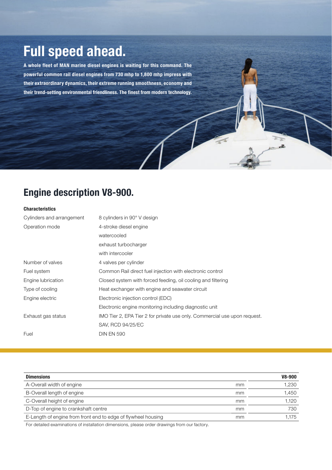## **Full speed ahead.**

**A whole fleet of MAN marine diesel engines is waiting for this command. The powerful common rail diesel engines from 730 mhp to 1,800 mhp impress with their extraordinary dynamics, their extreme running smoothness, economy and their trend-setting environmental friendliness. The finest from modern technology.**

### **Engine description V8-900.**

#### **Characteristics**

| Cylinders and arrangement | 8 cylinders in 90° V design                                               |  |
|---------------------------|---------------------------------------------------------------------------|--|
| Operation mode            | 4-stroke diesel engine                                                    |  |
|                           | watercooled                                                               |  |
|                           | exhaust turbocharger                                                      |  |
|                           | with intercooler                                                          |  |
| Number of valves          | 4 valves per cylinder                                                     |  |
| Fuel system               | Common Rail direct fuel injection with electronic control                 |  |
| Engine lubrication        | Closed system with forced feeding, oil cooling and filtering              |  |
| Type of cooling           | Heat exchanger with engine and seawater circuit                           |  |
| Engine electric           | Electronic injection control (EDC)                                        |  |
|                           | Electronic engine monitoring including diagnostic unit                    |  |
| Exhaust gas status        | IMO Tier 2, EPA Tier 2 for private use only. Commercial use upon request. |  |
|                           | <b>SAV, RCD 94/25/EC</b>                                                  |  |
| Fuel                      | <b>DIN EN 590</b>                                                         |  |

 $\overline{x}$ 

| <b>Dimensions</b>                                                   | V8-900 |
|---------------------------------------------------------------------|--------|
| A-Overall width of engine<br>mm                                     | 1.230  |
| B-Overall length of engine<br>mm                                    | 1.450  |
| C-Overall height of engine<br>mm                                    | 1.120  |
| D-Top of engine to crankshaft centre<br>mm                          | 730    |
| E-Length of engine from front end to edge of flywheel housing<br>mm | .175   |

For detailed examinations of installation dimensions, please order drawings from our factory.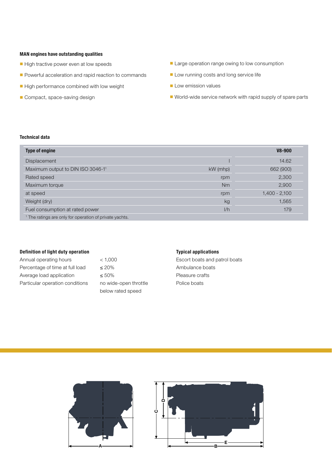#### **MAN engines have outstanding qualities**

- High tractive power even at low speeds
- Powerful acceleration and rapid reaction to commands
- High performance combined with low weight
- Compact, space-saving design
- Large operation range owing to low consumption
- Low running costs and long service life
- Low emission values
- World-wide service network with rapid supply of spare parts

#### **Technical data**

| <b>Type of engine</b>                                              |            | V8-900          |
|--------------------------------------------------------------------|------------|-----------------|
| <b>Displacement</b>                                                |            | 14.62           |
| Maximum output to DIN ISO 3046-11                                  | $kW$ (mhp) | 662 (900)       |
| Rated speed                                                        | rpm        | 2,300           |
| Maximum torque                                                     | Nm         | 2,900           |
| at speed                                                           | rpm        | $1,400 - 2,100$ |
| Weight (dry)                                                       | kg         | 1,565           |
| Fuel consumption at rated power                                    | 1/h        | 179             |
| <sup>1</sup> The ratings are only for operation of private yachts. |            |                 |

#### **Definition of light duty operation**

| Annual operating hours          |
|---------------------------------|
| Percentage of time at full load |
| Average load application        |
| Particular operation conditions |

 $< 1,000$  $\leq 20\%$  $\leq 50\%$ no wide-open throttle below rated speed

#### **Typical applications**

Escort boats and patrol boats Ambulance boats Pleasure crafts Police boats